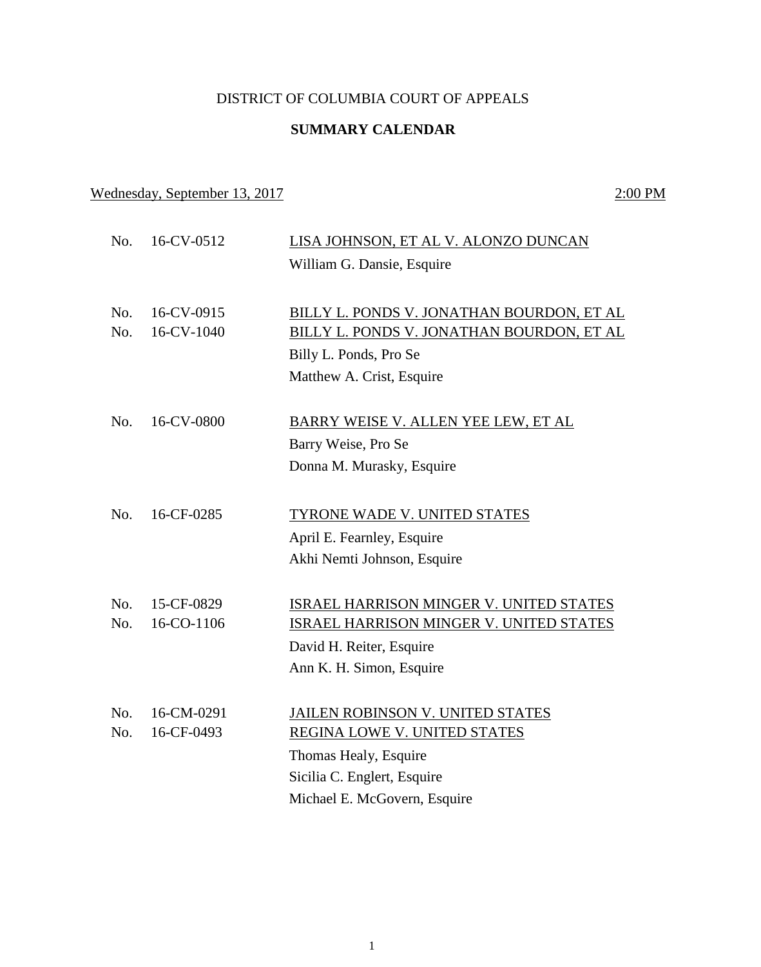## DISTRICT OF COLUMBIA COURT OF APPEALS

## **SUMMARY CALENDAR**

## Wednesday, September 13, 2017 2:00 PM

No. 16-CV-0512 LISA JOHNSON, ET AL V. ALONZO DUNCAN William G. Dansie, Esquire No. 16-CV-0915 BILLY L. PONDS V. JONATHAN BOURDON, ET AL No. 16-CV-1040 BILLY L. PONDS V. JONATHAN BOURDON, ET AL Billy L. Ponds, Pro Se Matthew A. Crist, Esquire No. 16-CV-0800 BARRY WEISE V. ALLEN YEE LEW, ET AL Barry Weise, Pro Se Donna M. Murasky, Esquire No. 16-CF-0285 TYRONE WADE V. UNITED STATES April E. Fearnley, Esquire Akhi Nemti Johnson, Esquire No. 15-CF-0829 ISRAEL HARRISON MINGER V. UNITED STATES No. 16-CO-1106 **ISRAEL HARRISON MINGER V. UNITED STATES** David H. Reiter, Esquire Ann K. H. Simon, Esquire No. 16-CM-0291 JAILEN ROBINSON V. UNITED STATES No. 16-CF-0493 REGINA LOWE V. UNITED STATES Thomas Healy, Esquire Sicilia C. Englert, Esquire Michael E. McGovern, Esquire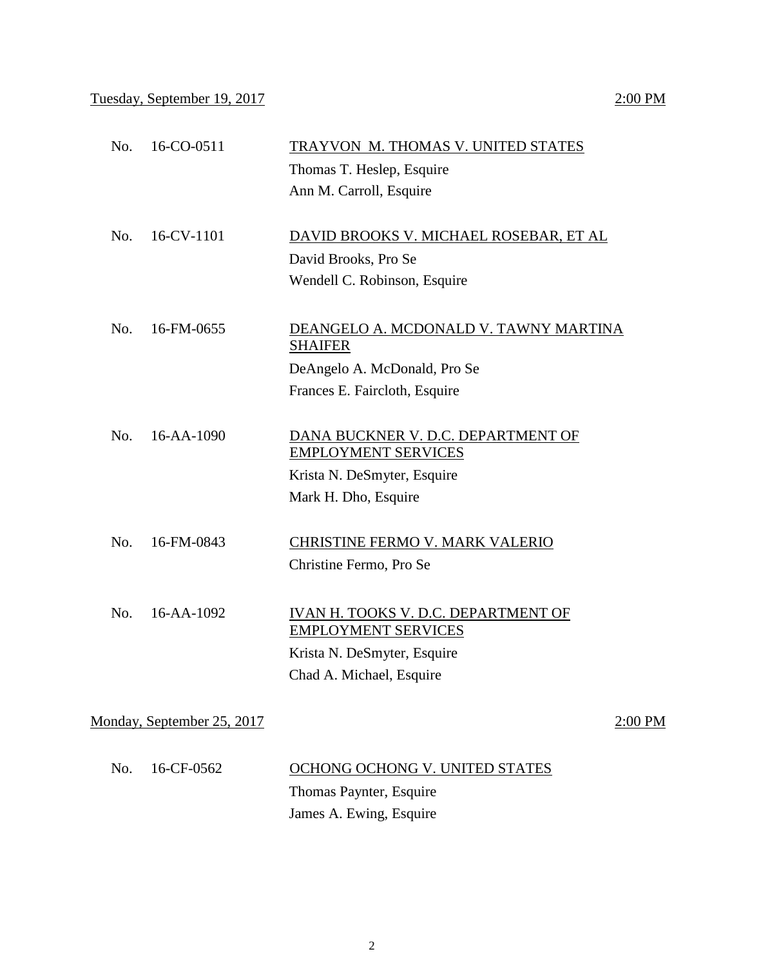| No. | 16-CO-0511                 | TRAYVON M. THOMAS V. UNITED STATES                                |
|-----|----------------------------|-------------------------------------------------------------------|
|     |                            | Thomas T. Heslep, Esquire                                         |
|     |                            | Ann M. Carroll, Esquire                                           |
| No. | 16-CV-1101                 | DAVID BROOKS V. MICHAEL ROSEBAR, ET AL                            |
|     |                            | David Brooks, Pro Se                                              |
|     |                            | Wendell C. Robinson, Esquire                                      |
| No. | 16-FM-0655                 | DEANGELO A. MCDONALD V. TAWNY MARTINA<br><b>SHAIFER</b>           |
|     |                            | DeAngelo A. McDonald, Pro Se                                      |
|     |                            | Frances E. Faircloth, Esquire                                     |
| No. | 16-AA-1090                 | DANA BUCKNER V. D.C. DEPARTMENT OF<br><b>EMPLOYMENT SERVICES</b>  |
|     |                            | Krista N. DeSmyter, Esquire                                       |
|     |                            | Mark H. Dho, Esquire                                              |
| No. | 16-FM-0843                 | CHRISTINE FERMO V. MARK VALERIO                                   |
|     |                            | Christine Fermo, Pro Se                                           |
| No. | 16-AA-1092                 | IVAN H. TOOKS V. D.C. DEPARTMENT OF<br><b>EMPLOYMENT SERVICES</b> |
|     |                            | Krista N. DeSmyter, Esquire                                       |
|     |                            | Chad A. Michael, Esquire                                          |
|     | Monday, September 25, 2017 | $2:00$ PM                                                         |
|     |                            |                                                                   |
| No. | 16-CF-0562                 | OCHONG OCHONG V. UNITED STATES                                    |
|     |                            | Thomas Paynter, Esquire                                           |
|     |                            | James A. Ewing, Esquire                                           |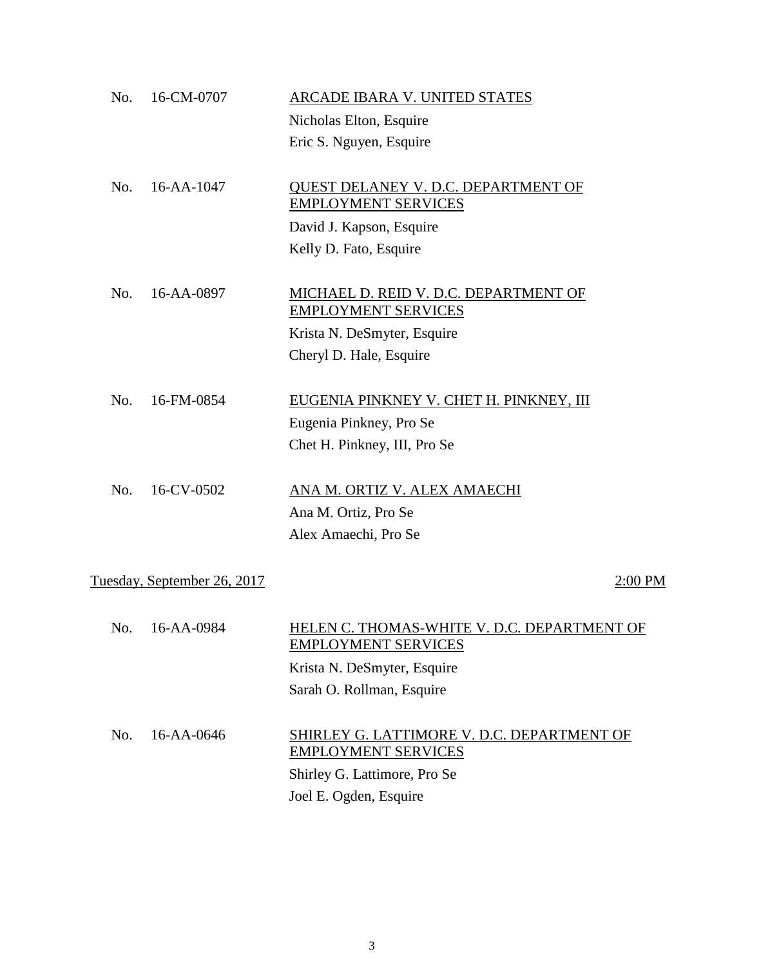| No. | 16-CM-0707                  | ARCADE IBARA V. UNITED STATES                                             |
|-----|-----------------------------|---------------------------------------------------------------------------|
|     |                             | Nicholas Elton, Esquire                                                   |
|     |                             | Eric S. Nguyen, Esquire                                                   |
| No. | 16-AA-1047                  | QUEST DELANEY V. D.C. DEPARTMENT OF<br><b>EMPLOYMENT SERVICES</b>         |
|     |                             | David J. Kapson, Esquire                                                  |
|     |                             | Kelly D. Fato, Esquire                                                    |
|     |                             |                                                                           |
| No. | 16-AA-0897                  | MICHAEL D. REID V. D.C. DEPARTMENT OF<br><b>EMPLOYMENT SERVICES</b>       |
|     |                             | Krista N. DeSmyter, Esquire                                               |
|     |                             | Cheryl D. Hale, Esquire                                                   |
|     |                             |                                                                           |
| No. | 16-FM-0854                  | EUGENIA PINKNEY V. CHET H. PINKNEY, III                                   |
|     |                             | Eugenia Pinkney, Pro Se                                                   |
|     |                             | Chet H. Pinkney, III, Pro Se                                              |
|     |                             |                                                                           |
| No. | 16-CV-0502                  | ANA M. ORTIZ V. ALEX AMAECHI                                              |
|     |                             | Ana M. Ortiz, Pro Se                                                      |
|     |                             | Alex Amaechi, Pro Se                                                      |
|     |                             |                                                                           |
|     | Tuesday, September 26, 2017 | 2:00 PM                                                                   |
|     |                             |                                                                           |
|     | No. 16-AA-0984              | HELEN C. THOMAS-WHITE V. D.C. DEPARTMENT OF<br><b>EMPLOYMENT SERVICES</b> |
|     |                             | Krista N. DeSmyter, Esquire                                               |
|     |                             | Sarah O. Rollman, Esquire                                                 |
|     |                             |                                                                           |
| No. | 16-AA-0646                  | SHIRLEY G. LATTIMORE V. D.C. DEPARTMENT OF<br><b>EMPLOYMENT SERVICES</b>  |
|     |                             | Shirley G. Lattimore, Pro Se                                              |
|     |                             |                                                                           |

Joel E. Ogden, Esquire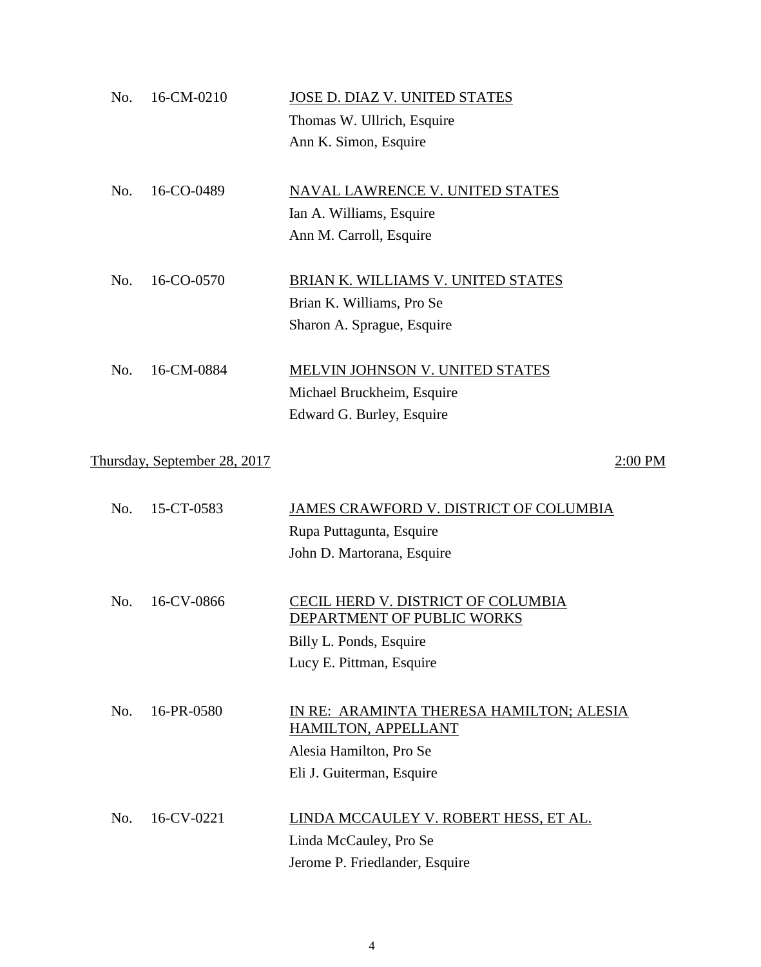| No. | 16-CM-0210                   | JOSE D. DIAZ V. UNITED STATES                                    |
|-----|------------------------------|------------------------------------------------------------------|
|     |                              | Thomas W. Ullrich, Esquire                                       |
|     |                              | Ann K. Simon, Esquire                                            |
| No. | 16-CO-0489                   | <b>NAVAL LAWRENCE V. UNITED STATES</b>                           |
|     |                              | Ian A. Williams, Esquire                                         |
|     |                              | Ann M. Carroll, Esquire                                          |
| No. | 16-CO-0570                   | BRIAN K. WILLIAMS V. UNITED STATES                               |
|     |                              | Brian K. Williams, Pro Se                                        |
|     |                              | Sharon A. Sprague, Esquire                                       |
| No. | 16-CM-0884                   | MELVIN JOHNSON V. UNITED STATES                                  |
|     |                              | Michael Bruckheim, Esquire                                       |
|     |                              | Edward G. Burley, Esquire                                        |
|     | Thursday, September 28, 2017 | 2:00 PM                                                          |
| No. | 15-CT-0583                   | JAMES CRAWFORD V. DISTRICT OF COLUMBIA                           |
|     |                              | Rupa Puttagunta, Esquire                                         |
|     |                              | John D. Martorana, Esquire                                       |
| No. | 16-CV-0866                   | CECIL HERD V. DISTRICT OF COLUMBIA<br>DEPARTMENT OF PUBLIC WORKS |
|     |                              | Billy L. Ponds, Esquire                                          |
|     |                              | Lucy E. Pittman, Esquire                                         |
| No. | 16-PR-0580                   | IN RE: ARAMINTA THERESA HAMILTON; ALESIA<br>HAMILTON, APPELLANT  |
|     |                              | Alesia Hamilton, Pro Se                                          |
|     |                              | Eli J. Guiterman, Esquire                                        |
| No. | 16-CV-0221                   | LINDA MCCAULEY V. ROBERT HESS, ET AL.                            |
|     |                              | Linda McCauley, Pro Se                                           |
|     |                              | Jerome P. Friedlander, Esquire                                   |